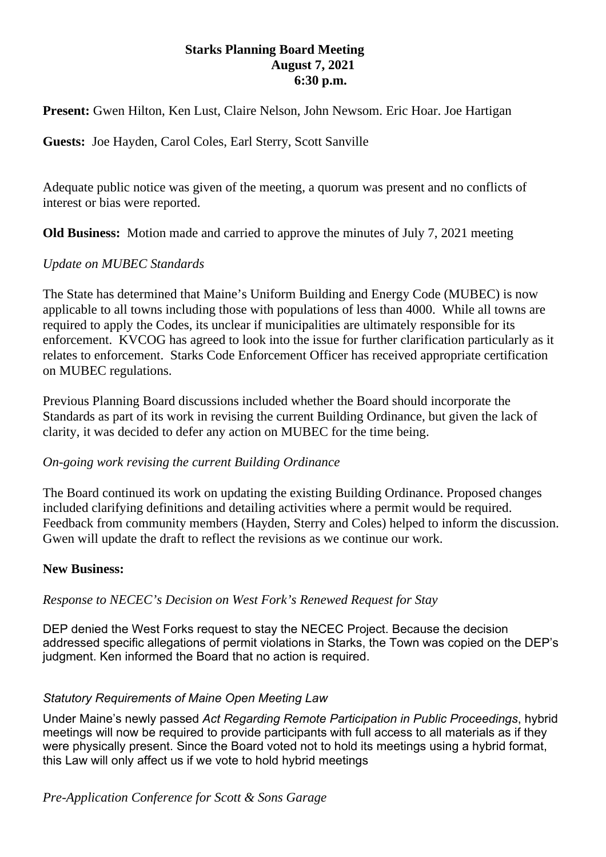### **Starks Planning Board Meeting August 7, 2021 6:30 p.m.**

**Present:** Gwen Hilton, Ken Lust, Claire Nelson, John Newsom. Eric Hoar. Joe Hartigan

**Guests:** Joe Hayden, Carol Coles, Earl Sterry, Scott Sanville

Adequate public notice was given of the meeting, a quorum was present and no conflicts of interest or bias were reported.

**Old Business:** Motion made and carried to approve the minutes of July 7, 2021 meeting

## *Update on MUBEC Standards*

The State has determined that Maine's Uniform Building and Energy Code (MUBEC) is now applicable to all towns including those with populations of less than 4000. While all towns are required to apply the Codes, its unclear if municipalities are ultimately responsible for its enforcement. KVCOG has agreed to look into the issue for further clarification particularly as it relates to enforcement. Starks Code Enforcement Officer has received appropriate certification on MUBEC regulations.

Previous Planning Board discussions included whether the Board should incorporate the Standards as part of its work in revising the current Building Ordinance, but given the lack of clarity, it was decided to defer any action on MUBEC for the time being.

#### *On-going work revising the current Building Ordinance*

The Board continued its work on updating the existing Building Ordinance. Proposed changes included clarifying definitions and detailing activities where a permit would be required. Feedback from community members (Hayden, Sterry and Coles) helped to inform the discussion. Gwen will update the draft to reflect the revisions as we continue our work.

#### **New Business:**

#### *Response to NECEC's Decision on West Fork's Renewed Request for Stay*

DEP denied the West Forks request to stay the NECEC Project. Because the decision addressed specific allegations of permit violations in Starks, the Town was copied on the DEP's judgment. Ken informed the Board that no action is required.

#### *Statutory Requirements of Maine Open Meeting Law*

Under Maine's newly passed *Act Regarding Remote Participation in Public Proceedings*, hybrid meetings will now be required to provide participants with full access to all materials as if they were physically present. Since the Board voted not to hold its meetings using a hybrid format, this Law will only affect us if we vote to hold hybrid meetings

# *Pre-Application Conference for Scott & Sons Garage*